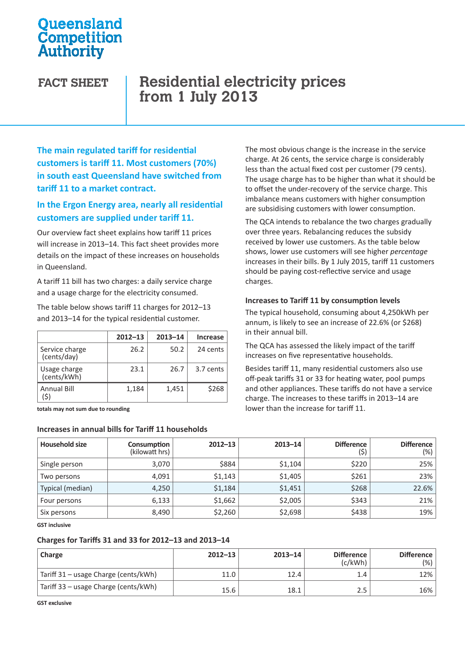## **Oueensland** Competition Authority

# **FACT SHEET Residential electricity prices from 1 July 2013**

**The main regulated tariff for residential customers is tariff 11. Most customers (70%) in south east Queensland have switched from tariff 11 to a market contract.** 

### **In the Ergon Energy area, nearly all residential customers are supplied under tariff 11.**

Our overview fact sheet explains how tariff 11 prices will increase in 2013–14. This fact sheet provides more details on the impact of these increases on households in Queensland.

A tariff 11 bill has two charges: a daily service charge and a usage charge for the electricity consumed.

The table below shows tariff 11 charges for 2012–13 and 2013–14 for the typical residential customer.

|                               | $2012 - 13$ | $2013 - 14$ | <b>Increase</b> |
|-------------------------------|-------------|-------------|-----------------|
| Service charge<br>(cents/day) | 26.2        | 50.2        | 24 cents        |
| Usage charge<br>(cents/kWh)   | 23.1        | 26.7        | 3.7 cents       |
| <b>Annual Bill</b>            | 1,184       | 1,451       | \$268           |

**totals may not sum due to rounding**

#### **Increases in annual bills for Tariff 11 households**

The most obvious change is the increase in the service charge. At 26 cents, the service charge is considerably less than the actual fixed cost per customer (79 cents). The usage charge has to be higher than what it should be to offset the under-recovery of the service charge. This imbalance means customers with higher consumption are subsidising customers with lower consumption.

The QCA intends to rebalance the two charges gradually over three years. Rebalancing reduces the subsidy received by lower use customers. As the table below shows, lower use customers will see higher *percentage* increases in their bills. By 1 July 2015, tariff 11 customers should be paying cost-reflective service and usage charges.

#### **Increases to Tariff 11 by consumption levels**

The typical household, consuming about 4,250kWh per annum, is likely to see an increase of 22.6% (or \$268) in their annual bill.

The QCA has assessed the likely impact of the tariff increases on five representative households.

Besides tariff 11, many residential customers also use off-peak tariffs 31 or 33 for heating water, pool pumps and other appliances. These tariffs do not have a service charge. The increases to these tariffs in 2013–14 are lower than the increase for tariff 11.

| <b>Household size</b> | Consumption<br>(kilowatt hrs) | $2012 - 13$ | $2013 - 14$ | <b>Difference</b><br>(\$) | <b>Difference</b><br>(%) |
|-----------------------|-------------------------------|-------------|-------------|---------------------------|--------------------------|
| Single person         | 3,070                         | \$884       | \$1,104     | \$220                     | 25%                      |
| Two persons           | 4,091                         | \$1,143     | \$1,405     | \$261                     | 23%                      |
| Typical (median)      | 4,250                         | \$1,184     | \$1,451     | \$268                     | 22.6%                    |
| Four persons          | 6,133                         | \$1,662     | \$2,005     | \$343                     | 21%                      |
| Six persons           | 8,490                         | \$2,260     | \$2,698     | \$438                     | 19%                      |

**GST inclusive**

#### **Charges for Tariffs 31 and 33 for 2012–13 and 2013–14**

| Charge                               | $2012 - 13$ | $2013 - 14$ | <b>Difference</b><br>(c/kWh) | Difference<br>$(\%)$ |
|--------------------------------------|-------------|-------------|------------------------------|----------------------|
| Tariff 31 - usage Charge (cents/kWh) | 11.0        | 12.4        |                              | 12%                  |
| Tariff 33 – usage Charge (cents/kWh) | 15.6        | 18.1        | 2.5                          | 16%                  |

**GST exclusive**